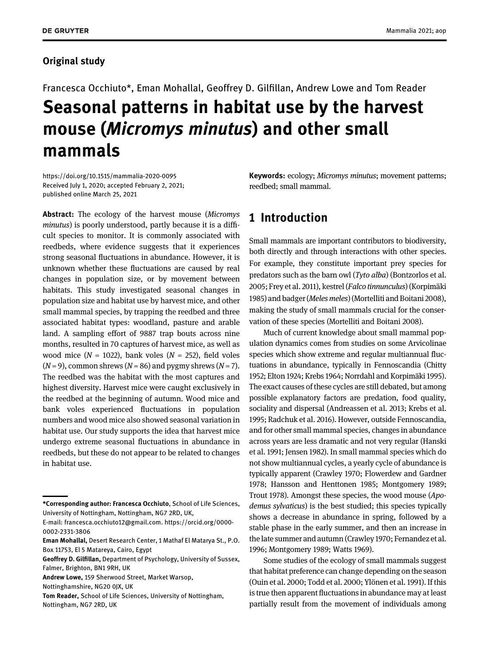## Original study

# Francesca Occhiuto\*, Eman Mohallal, Geoffrey D. Gilfillan, Andrew Lowe and Tom Reader Seasonal patterns in habitat use by the harvest mouse (Micromys minutus) and other small mammals

<https://doi.org/10.1515/mammalia-2020-0095> Received July 1, 2020; accepted February 2, 2021; published online March 25, 2021

Abstract: The ecology of the harvest mouse (Micromys minutus) is poorly understood, partly because it is a difficult species to monitor. It is commonly associated with reedbeds, where evidence suggests that it experiences strong seasonal fluctuations in abundance. However, it is unknown whether these fluctuations are caused by real changes in population size, or by movement between habitats. This study investigated seasonal changes in population size and habitat use by harvest mice, and other small mammal species, by trapping the reedbed and three associated habitat types: woodland, pasture and arable land. A sampling effort of 9887 trap bouts across nine months, resulted in 70 captures of harvest mice, as well as wood mice ( $N = 1022$ ), bank voles ( $N = 252$ ), field voles  $(N = 9)$ , common shrews  $(N = 86)$  and pygmy shrews  $(N = 7)$ . The reedbed was the habitat with the most captures and highest diversity. Harvest mice were caught exclusively in the reedbed at the beginning of autumn. Wood mice and bank voles experienced fluctuations in population numbers and wood mice also showed seasonal variation in habitat use. Our study supports the idea that harvest mice undergo extreme seasonal fluctuations in abundance in reedbeds, but these do not appear to be related to changes in habitat use.

E-mail: [francesca.occhiuto12@gmail.com](mailto:francesca.occhiuto12@gmail.com). [https://orcid.org/0000-](https://orcid.org/0000-0002-2331-3806) [0002-2331-3806](https://orcid.org/0000-0002-2331-3806)

Geoffrey D. Gilfillan, Department of Psychology, University of Sussex, Falmer, Brighton, BN1 9RH, UK

Tom Reader, School of Life Sciences, University of Nottingham, Nottingham, NG7 2RD, UK

Keywords: ecology; Micromys minutus; movement patterns; reedbed; small mammal.

# 1 Introduction

Small mammals are important contributors to biodiversity, both directly and through interactions with other species. For example, they constitute important prey species for predators such as the barn owl (Tyto alba) ([Bontzorlos et al.](#page-8-0) [2005;](#page-8-0) [Frey et al. 2011](#page-9-0)), kestrel (Falco tinnunculus) [\(Korpimäki](#page-9-1) [1985](#page-9-1)) and badger (Meles meles) ([Mortelliti and Boitani 2008](#page-9-2)), making the study of small mammals crucial for the conservation of these species [\(Mortelliti and Boitani 2008](#page-9-2)).

Much of current knowledge about small mammal population dynamics comes from studies on some Arvicolinae species which show extreme and regular multiannual fluctuations in abundance, typically in Fennoscandia [\(Chitty](#page-9-3) [1952;](#page-9-3) [Elton 1924;](#page-9-4) [Krebs 1964;](#page-9-5) [Norrdahl and Korpimäki 1995](#page-9-6)). The exact causes of these cycles are still debated, but among possible explanatory factors are predation, food quality, sociality and dispersal [\(Andreassen et al. 2013](#page-8-1); [Krebs et al.](#page-9-7) [1995](#page-9-7); [Radchuk et al. 2016](#page-9-8)). However, outside Fennoscandia, and for other small mammal species, changes in abundance across years are less dramatic and not very regular [\(Hanski](#page-9-9) [et al. 1991;](#page-9-9) [Jensen 1982\)](#page-9-10). In small mammal species which do not show multiannual cycles, a yearly cycle of abundance is typically apparent ([Crawley 1970;](#page-9-11) [Flowerdew and Gardner](#page-9-12) [1978](#page-9-12); [Hansson and Henttonen 1985](#page-9-13); [Montgomery 1989](#page-9-14); [Trout 1978](#page-10-0)). Amongst these species, the wood mouse (Apodemus sylvaticus) is the best studied; this species typically shows a decrease in abundance in spring, followed by a stable phase in the early summer, and then an increase in the late summer and autumn ([Crawley 1970](#page-9-11); [Fernandez et al.](#page-9-15) [1996;](#page-9-15) [Montgomery 1989](#page-9-14); [Watts 1969\)](#page-10-1).

Some studies of the ecology of small mammals suggest that habitat preference can change depending on the season ([Ouin et al. 2000;](#page-9-16) [Todd et al. 2000](#page-10-2); [Ylönen et al. 1991](#page-10-3)). If this is true then apparent fluctuations in abundance may at least partially result from the movement of individuals among

<sup>\*</sup>Corresponding author: Francesca Occhiuto, School of Life Sciences, University of Nottingham, Nottingham, NG7 2RD, UK,

Eman Mohallal, Desert Research Center, 1 Mathaf El Matarya St., P.O. Box 11753, El 5 Matareya, Cairo, Egypt

Andrew Lowe, 159 Sherwood Street, Market Warsop,

Nottinghamshire, NG20 0JX, UK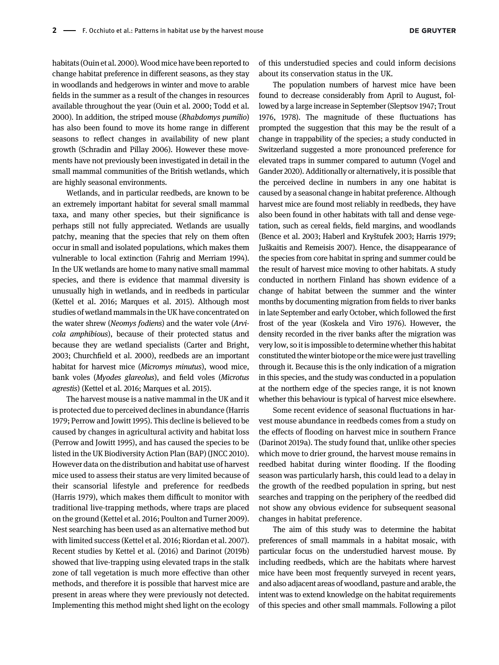habitats [\(Ouin et al. 2000](#page-9-16)). Wood mice have been reported to change habitat preference in different seasons, as they stay in woodlands and hedgerows in winter and move to arable fields in the summer as a result of the changes in resources available throughout the year [\(Ouin et al. 2000;](#page-9-16) [Todd et al.](#page-10-2) [2000](#page-10-2)). In addition, the striped mouse (Rhabdomys pumilio) has also been found to move its home range in different seasons to reflect changes in availability of new plant growth [\(Schradin and Pillay 2006\)](#page-10-4). However these movements have not previously been investigated in detail in the small mammal communities of the British wetlands, which are highly seasonal environments.

Wetlands, and in particular reedbeds, are known to be an extremely important habitat for several small mammal taxa, and many other species, but their significance is perhaps still not fully appreciated. Wetlands are usually patchy, meaning that the species that rely on them often occur in small and isolated populations, which makes them vulnerable to local extinction [\(Fahrig and Merriam 1994](#page-9-17)). In the UK wetlands are home to many native small mammal species, and there is evidence that mammal diversity is unusually high in wetlands, and in reedbeds in particular [\(Kettel et al. 2016;](#page-9-18) [Marques et al. 2015](#page-9-19)). Although most studies of wetland mammals in the UK have concentrated on the water shrew (Neomys fodiens) and the water vole (Arvicola amphibious), because of their protected status and because they are wetland specialists ([Carter and Bright,](#page-9-20) [2003](#page-9-20); Churchfi[eld et al. 2000\)](#page-9-21), reedbeds are an important habitat for harvest mice (Micromys minutus), wood mice, bank voles (Myodes glareolus), and field voles (Microtus agrestis) ([Kettel et al. 2016;](#page-9-18) [Marques et al. 2015\)](#page-9-19).

The harvest mouse is a native mammal in the UK and it is protected due to perceived declines in abundance ([Harris](#page-9-22) [1979;](#page-9-22) [Perrow and Jowitt 1995](#page-9-23)). This decline is believed to be caused by changes in agricultural activity and habitat loss [\(Perrow and Jowitt 1995](#page-9-23)), and has caused the species to be listed in the UK Biodiversity Action Plan (BAP) [\(JNCC 2010\)](#page-9-24). However data on the distribution and habitat use of harvest mice used to assess their status are very limited because of their scansorial lifestyle and preference for reedbeds [\(Harris 1979](#page-9-22)), which makes them difficult to monitor with traditional live-trapping methods, where traps are placed on the ground [\(Kettel et al. 2016;](#page-9-18) [Poulton and Turner 2009\)](#page-9-25). Nest searching has been used as an alternative method but with limited success [\(Kettel et al. 2016;](#page-9-18) [Riordan et al. 2007](#page-10-5)). Recent studies by [Kettel et al. \(2016\)](#page-9-18) and [Darinot \(2019b\)](#page-9-26) showed that live-trapping using elevated traps in the stalk zone of tall vegetation is much more effective than other methods, and therefore it is possible that harvest mice are present in areas where they were previously not detected. Implementing this method might shed light on the ecology

of this understudied species and could inform decisions about its conservation status in the UK.

The population numbers of harvest mice have been found to decrease considerably from April to August, followed by a large increase in September ([Sleptsov 1947](#page-10-6); Trout 1976, [1978](#page-10-0)). The magnitude of these fluctuations has prompted the suggestion that this may be the result of a change in trappability of the species; a study conducted in Switzerland suggested a more pronounced preference for elevated traps in summer compared to autumn [\(Vogel and](#page-10-7) [Gander 2020\)](#page-10-7). Additionally or alternatively, it is possible that the perceived decline in numbers in any one habitat is caused by a seasonal change in habitat preference. Although harvest mice are found most reliably in reedbeds, they have also been found in other habitats with tall and dense vegetation, such as cereal fields, field margins, and woodlands [\(Bence et al. 2003](#page-8-2); [Haberl and Kry](#page-9-27)štufek 2003; [Harris 1979](#page-9-22); Juš[kaitis and Remeisis 2007\)](#page-9-28). Hence, the disappearance of the species from core habitat in spring and summer could be the result of harvest mice moving to other habitats. A study conducted in northern Finland has shown evidence of a change of habitat between the summer and the winter months by documenting migration from fields to river banks in late September and early October, which followed the first frost of the year [\(Koskela and Viro 1976\)](#page-9-29). However, the density recorded in the river banks after the migration was very low, so it is impossible to determine whether this habitat constituted the winter biotope or the mice were just travelling through it. Because this is the only indication of a migration in this species, and the study was conducted in a population at the northern edge of the species range, it is not known whether this behaviour is typical of harvest mice elsewhere.

Some recent evidence of seasonal fluctuations in harvest mouse abundance in reedbeds comes from a study on the effects of flooding on harvest mice in southern France [\(Darinot 2019a\)](#page-9-30). The study found that, unlike other species which move to drier ground, the harvest mouse remains in reedbed habitat during winter flooding. If the flooding season was particularly harsh, this could lead to a delay in the growth of the reedbed population in spring, but nest searches and trapping on the periphery of the reedbed did not show any obvious evidence for subsequent seasonal changes in habitat preference.

The aim of this study was to determine the habitat preferences of small mammals in a habitat mosaic, with particular focus on the understudied harvest mouse. By including reedbeds, which are the habitats where harvest mice have been most frequently surveyed in recent years, and also adjacent areas of woodland, pasture and arable, the intent was to extend knowledge on the habitat requirements of this species and other small mammals. Following a pilot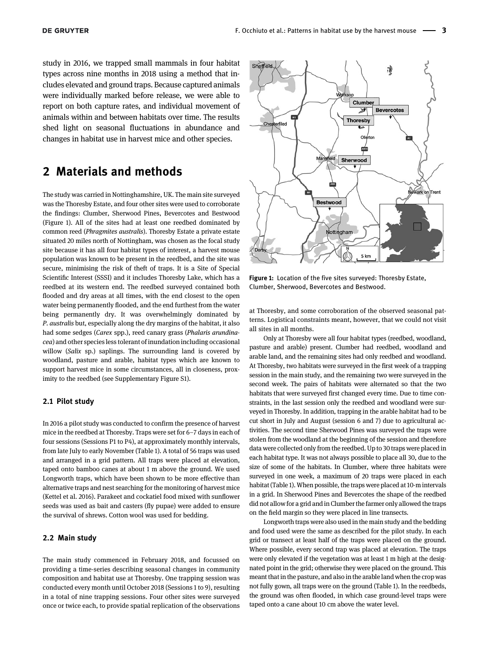study in 2016, we trapped small mammals in four habitat types across nine months in 2018 using a method that includes elevated and ground traps. Because captured animals were individually marked before release, we were able to report on both capture rates, and individual movement of animals within and between habitats over time. The results shed light on seasonal fluctuations in abundance and changes in habitat use in harvest mice and other species.

# 2 Materials and methods

The study was carried in Nottinghamshire, UK. The main site surveyed was the Thoresby Estate, and four other sites were used to corroborate the findings: Clumber, Sherwood Pines, Bevercotes and Bestwood ([Figure 1\)](#page-2-0). All of the sites had at least one reedbed dominated by common reed (Phragmites australis). Thoresby Estate a private estate situated 20 miles north of Nottingham, was chosen as the focal study site because it has all four habitat types of interest, a harvest mouse population was known to be present in the reedbed, and the site was secure, minimising the risk of theft of traps. It is a Site of Special Scientific Interest (SSSI) and it includes Thoresby Lake, which has a reedbed at its western end. The reedbed surveyed contained both flooded and dry areas at all times, with the end closest to the open water being permanently flooded, and the end furthest from the water being permanently dry. It was overwhelmingly dominated by P. australis but, especially along the dry margins of the habitat, it also had some sedges (Carex spp.), reed canary grass (Phalaris arundinacea) and other species less tolerant of inundation including occasional willow (Salix sp.) saplings. The surrounding land is covered by woodland, pasture and arable, habitat types which are known to support harvest mice in some circumstances, all in closeness, proximity to the reedbed (see [Supplementary Figure S1](#page-10-8)).

#### 2.1 Pilot study

In 2016 a pilot study was conducted to confirm the presence of harvest mice in the reedbed at Thoresby. Traps were set for 6–7 days in each of four sessions (Sessions P1 to P4), at approximately monthly intervals, from late July to early November [\(Table 1\)](#page-3-0). A total of 56 traps was used and arranged in a grid pattern. All traps were placed at elevation, taped onto bamboo canes at about 1 m above the ground. We used Longworth traps, which have been shown to be more effective than alternative traps and nest searching for the monitoring of harvest mice ([Kettel et al. 2016](#page-9-18)). Parakeet and cockatiel food mixed with sunflower seeds was used as bait and casters (fly pupae) were added to ensure the survival of shrews. Cotton wool was used for bedding.

#### 2.2 Main study

The main study commenced in February 2018, and focussed on providing a time-series describing seasonal changes in community composition and habitat use at Thoresby. One trapping session was conducted every month until October 2018 (Sessions 1 to 9), resulting in a total of nine trapping sessions. Four other sites were surveyed once or twice each, to provide spatial replication of the observations



<span id="page-2-0"></span>Figure 1: Location of the five sites surveyed: Thoresby Estate, Clumber, Sherwood, Bevercotes and Bestwood.

at Thoresby, and some corroboration of the observed seasonal patterns. Logistical constraints meant, however, that we could not visit all sites in all months.

Only at Thoresby were all four habitat types (reedbed, woodland, pasture and arable) present. Clumber had reedbed, woodland and arable land, and the remaining sites had only reedbed and woodland. At Thoresby, two habitats were surveyed in the first week of a trapping session in the main study, and the remaining two were surveyed in the second week. The pairs of habitats were alternated so that the two habitats that were surveyed first changed every time. Due to time constraints, in the last session only the reedbed and woodland were surveyed in Thoresby. In addition, trapping in the arable habitat had to be cut short in July and August (session 6 and 7) due to agricultural activities. The second time Sherwood Pines was surveyed the traps were stolen from the woodland at the beginning of the session and therefore data were collected only from the reedbed. Up to 30 traps were placed in each habitat type. It was not always possible to place all 30, due to the size of some of the habitats. In Clumber, where three habitats were surveyed in one week, a maximum of 20 traps were placed in each habitat [\(Table 1](#page-3-0)). When possible, the traps were placed at 10-m intervals in a grid. In Sherwood Pines and Bevercotes the shape of the reedbed did not allow for a grid and in Clumber the farmer only allowed the traps on the field margin so they were placed in line transects.

Longworth traps were also used in the main study and the bedding and food used were the same as described for the pilot study. In each grid or transect at least half of the traps were placed on the ground. Where possible, every second trap was placed at elevation. The traps were only elevated if the vegetation was at least 1 m high at the designated point in the grid; otherwise they were placed on the ground. This meant that in the pasture, and also in the arable land when the crop was not fully gown, all traps were on the ground [\(Table 1](#page-3-0)). In the reedbeds, the ground was often flooded, in which case ground-level traps were taped onto a cane about 10 cm above the water level.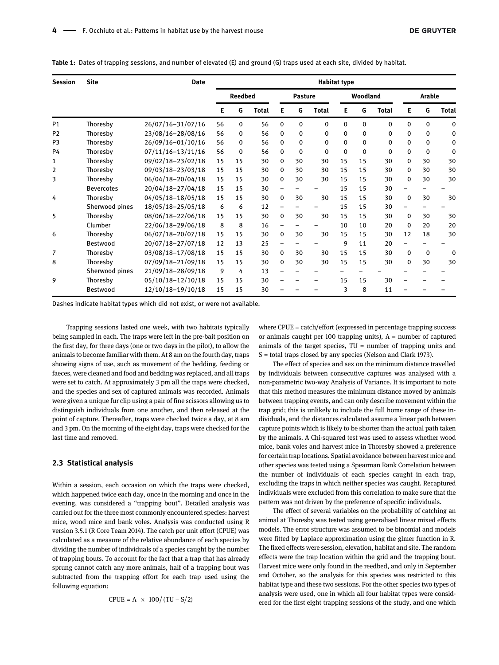| <b>Session</b> | <b>Site</b>       | <b>Date</b>           | <b>Habitat type</b> |          |                |          |                 |              |             |        |              |             |             |              |
|----------------|-------------------|-----------------------|---------------------|----------|----------------|----------|-----------------|--------------|-------------|--------|--------------|-------------|-------------|--------------|
|                |                   |                       | <b>Reedbed</b>      |          | <b>Pasture</b> |          | <b>Woodland</b> |              |             | Arable |              |             |             |              |
|                |                   |                       | Е                   | G        | <b>Total</b>   | Е        | G               | <b>Total</b> | Е           | G      | <b>Total</b> | Е           | G           | <b>Total</b> |
| P1             | Thoresby          | 26/07/16-31/07/16     | 56                  | 0        | 56             | 0        | 0               | $\mathbf{0}$ | 0           | 0      | $\Omega$     | 0           | 0           | 0            |
| P <sub>2</sub> | Thoresby          | 23/08/16-28/08/16     | 56                  | 0        | 56             | 0        | 0               | $\Omega$     | 0           | 0      | 0            | 0           | 0           | 0            |
| P <sub>3</sub> | Thoresby          | 26/09/16-01/10/16     | 56                  | 0        | 56             | $\Omega$ | 0               | $\Omega$     | $\mathbf 0$ | 0      | $\Omega$     | 0           | 0           | 0            |
| P4             | Thoresby          | $07/11/16 - 13/11/16$ | 56                  | $\Omega$ | 56             | $\Omega$ | 0               | $\Omega$     | 0           | 0      | $\Omega$     | 0           | 0           | 0            |
| 1              | Thoresby          | 09/02/18-23/02/18     | 15                  | 15       | 30             | $\Omega$ | 30              | 30           | 15          | 15     | 30           | 0           | 30          | 30           |
| 2              | Thoresby          | 09/03/18-23/03/18     | 15                  | 15       | 30             | 0        | 30              | 30           | 15          | 15     | 30           | 0           | 30          | 30           |
| 3              | Thoresby          | 06/04/18-20/04/18     | 15                  | 15       | 30             | $\Omega$ | 30              | 30           | 15          | 15     | 30           | 0           | 30          | 30           |
|                | <b>Bevercotes</b> | 20/04/18-27/04/18     | 15                  | 15       | 30             |          |                 |              | 15          | 15     | 30           |             |             |              |
| 4              | Thoresby          | 04/05/18-18/05/18     | 15                  | 15       | 30             | 0        | 30              | 30           | 15          | 15     | 30           | $\mathbf 0$ | 30          | 30           |
|                | Sherwood pines    | 18/05/18-25/05/18     | 6                   | 6        | 12             |          |                 |              | 15          | 15     | 30           | ۰           |             |              |
| 5              | Thoresby          | 08/06/18-22/06/18     | 15                  | 15       | 30             | 0        | 30              | 30           | 15          | 15     | 30           | 0           | 30          | 30           |
|                | Clumber           | 22/06/18-29/06/18     | 8                   | 8        | 16             |          |                 |              | 10          | 10     | 20           | $\mathbf 0$ | 20          | 20           |
| 6              | Thoresby          | 06/07/18-20/07/18     | 15                  | 15       | 30             | $\Omega$ | 30              | 30           | 15          | 15     | 30           | 12          | 18          | 30           |
|                | <b>Bestwood</b>   | 20/07/18-27/07/18     | 12                  | 13       | 25             |          |                 |              | 9           | 11     | 20           |             |             |              |
| 7              | Thoresby          | 03/08/18-17/08/18     | 15                  | 15       | 30             | 0        | 30              | 30           | 15          | 15     | 30           | $\mathbf 0$ | $\mathbf 0$ | 0            |
| 8              | Thoresby          | 07/09/18-21/09/18     | 15                  | 15       | 30             | 0        | 30              | 30           | 15          | 15     | 30           | 0           | 30          | 30           |
|                | Sherwood pines    | 21/09/18-28/09/18     | 9                   | 4        | 13             |          |                 |              |             |        |              |             |             |              |
| 9              | Thoresby          | 05/10/18-12/10/18     | 15                  | 15       | 30             |          |                 |              | 15          | 15     | 30           |             |             |              |
|                | Bestwood          | 12/10/18-19/10/18     | 15                  | 15       | 30             |          |                 |              | 3           | 8      | 11           |             |             |              |

<span id="page-3-0"></span>Table 1: Dates of trapping sessions, and number of elevated (E) and ground (G) traps used at each site, divided by habitat.

Dashes indicate habitat types which did not exist, or were not available.

Trapping sessions lasted one week, with two habitats typically being sampled in each. The traps were left in the pre-bait position on the first day, for three days (one or two days in the pilot), to allow the animals to become familiar with them. At 8 am on the fourth day, traps showing signs of use, such as movement of the bedding, feeding or faeces, were cleaned and food and bedding was replaced, and all traps were set to catch. At approximately 3 pm all the traps were checked, and the species and sex of captured animals was recorded. Animals were given a unique fur clip using a pair of fine scissors allowing us to distinguish individuals from one another, and then released at the point of capture. Thereafter, traps were checked twice a day, at 8 am and 3 pm. On the morning of the eight day, traps were checked for the last time and removed.

#### 2.3 Statistical analysis

Within a session, each occasion on which the traps were checked, which happened twice each day, once in the morning and once in the evening, was considered a "trapping bout". Detailed analysis was carried out for the three most commonly encountered species: harvest mice, wood mice and bank voles. Analysis was conducted using R version 3.5.1 ([R Core Team 2014](#page-9-31)). The catch per unit effort (CPUE) was calculated as a measure of the relative abundance of each species by dividing the number of individuals of a species caught by the number of trapping bouts. To account for the fact that a trap that has already sprung cannot catch any more animals, half of a trapping bout was subtracted from the trapping effort for each trap used using the following equation:

$$
CPUE = A \times 100 / (TU - S/2)
$$

where CPUE = catch/effort (expressed in percentage trapping success or animals caught per 100 trapping units),  $A =$  number of captured animals of the target species,  $TU =$  number of trapping units and S = total traps closed by any species [\(Nelson and Clark 1973](#page-9-32)).

The effect of species and sex on the minimum distance travelled by individuals between consecutive captures was analysed with a non-parametric two-way Analysis of Variance. It is important to note that this method measures the minimum distance moved by animals between trapping events, and can only describe movement within the trap grid; this is unlikely to include the full home range of these individuals, and the distances calculated assume a linear path between capture points which is likely to be shorter than the actual path taken by the animals. A Chi-squared test was used to assess whether wood mice, bank voles and harvest mice in Thoresby showed a preference for certain trap locations. Spatial avoidance between harvest mice and other species was tested using a Spearman Rank Correlation between the number of individuals of each species caught in each trap, excluding the traps in which neither species was caught. Recaptured individuals were excluded from this correlation to make sure that the pattern was not driven by the preference of specific individuals.

The effect of several variables on the probability of catching an animal at Thoresby was tested using generalised linear mixed effects models. The error structure was assumed to be binomial and models were fitted by Laplace approximation using the glmer function in R. The fixed effects were session, elevation, habitat and site. The random effects were the trap location within the grid and the trapping bout. Harvest mice were only found in the reedbed, and only in September and October, so the analysis for this species was restricted to this habitat type and these two sessions. For the other species two types of analysis were used, one in which all four habitat types were considered for the first eight trapping sessions of the study, and one which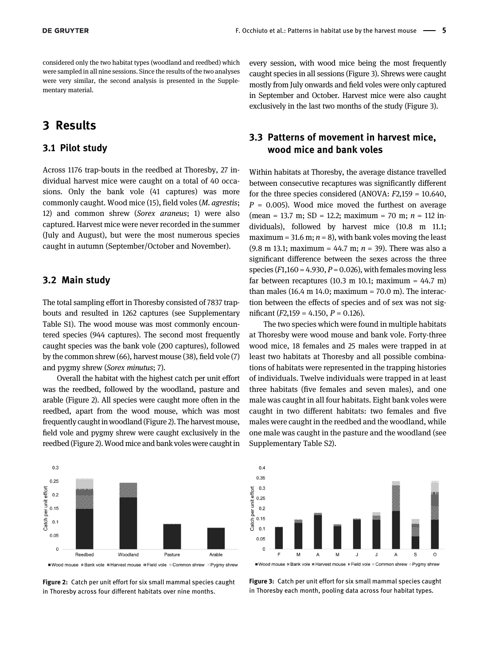considered only the two habitat types (woodland and reedbed) which were sampled in all nine sessions. Since the results of the two analyses were very similar, the second analysis is presented in the [Supple](#page-10-8)[mentary material.](#page-10-8)

# 3 Results

### 3.1 Pilot study

Across 1176 trap-bouts in the reedbed at Thoresby, 27 individual harvest mice were caught on a total of 40 occasions. Only the bank vole (41 captures) was more commonly caught. Wood mice (15), field voles (M. agrestis; 12) and common shrew (Sorex araneus; 1) were also captured. Harvest mice were never recorded in the summer (July and August), but were the most numerous species caught in autumn (September/October and November).

#### 3.2 Main study

The total sampling effort in Thoresby consisted of 7837 trapbouts and resulted in 1262 captures (see [Supplementary](#page-10-8) [Table S1\)](#page-10-8). The wood mouse was most commonly encountered species (944 captures). The second most frequently caught species was the bank vole (200 captures), followed by the common shrew (66), harvest mouse (38), field vole (7) and pygmy shrew (Sorex minutus; 7).

Overall the habitat with the highest catch per unit effort was the reedbed, followed by the woodland, pasture and arable [\(Figure 2](#page-4-0)). All species were caught more often in the reedbed, apart from the wood mouse, which was most frequently caught in woodland [\(Figure 2](#page-4-0)). The harvest mouse, field vole and pygmy shrew were caught exclusively in the reedbed [\(Figure 2\)](#page-4-0). Wood mice and bank voles were caught in



■ Wood mouse & Bank vole ■ Harvest mouse II Field vole ■ Common shrew ※ Pygmy shrew

<span id="page-4-0"></span>Figure 2: Catch per unit effort for six small mammal species caught in Thoresby across four different habitats over nine months.

every session, with wood mice being the most frequently caught species in all sessions [\(Figure 3](#page-4-1)). Shrews were caught mostly from July onwards and field voles were only captured in September and October. Harvest mice were also caught exclusively in the last two months of the study [\(Figure 3\)](#page-4-1).

## 3.3 Patterns of movement in harvest mice, wood mice and bank voles

Within habitats at Thoresby, the average distance travelled between consecutive recaptures was significantly different for the three species considered (ANOVA: F2,159 = 10.640,  $P = 0.005$ ). Wood mice moved the furthest on average (mean = 13.7 m; SD = 12.2; maximum = 70 m;  $n = 112$  individuals), followed by harvest mice (10.8 m 11.1; maximum = 31.6 m;  $n = 8$ ), with bank voles moving the least (9.8 m 13.1; maximum = 44.7 m;  $n = 39$ ). There was also a significant difference between the sexes across the three species ( $F1,160 = 4.930, P = 0.026$ ), with females moving less far between recaptures  $(10.3 \text{ m } 10.1; \text{ maximum } = 44.7 \text{ m})$ than males (16.4 m 14.0; maximum =  $70.0$  m). The interaction between the effects of species and of sex was not significant ( $F2,159 = 4.150$ ,  $P = 0.126$ ).

The two species which were found in multiple habitats at Thoresby were wood mouse and bank vole. Forty-three wood mice, 18 females and 25 males were trapped in at least two habitats at Thoresby and all possible combinations of habitats were represented in the trapping histories of individuals. Twelve individuals were trapped in at least three habitats (five females and seven males), and one male was caught in all four habitats. Eight bank voles were caught in two different habitats: two females and five males were caught in the reedbed and the woodland, while one male was caught in the pasture and the woodland (see [Supplementary Table S2](#page-10-8)).



<span id="page-4-1"></span>Figure 3: Catch per unit effort for six small mammal species caught in Thoresby each month, pooling data across four habitat types.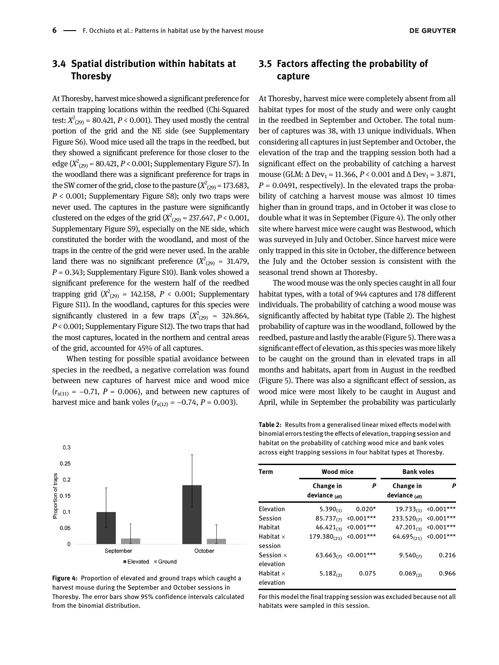## 3.4 Spatial distribution within habitats at Thoresby

At Thoresby, harvest mice showed a significant preference for certain trapping locations within the reedbed (Chi-Squared test:  $X^{2}_{(29)}$  = 80.421, P < 0.001). They used mostly the central portion of the grid and the NE side (see [Supplementary](#page-10-8) [Figure S6](#page-10-8)). Wood mice used all the traps in the reedbed, but they showed a significant preference for those closer to the edge ( $X^{2}(29)$  = 80.421, P < 0.001; [Supplementary Figure S7\)](#page-10-8). In the woodland there was a significant preference for traps in the SW corner of the grid, close to the pasture ( $X^2_{(29)}$  = 173.683,  $P < 0.001$ ; [Supplementary Figure S8\)](#page-10-8); only two traps were never used. The captures in the pasture were significantly clustered on the edges of the grid ( $X^2_{(29)}$  = 237.647, P < 0.001, [Supplementary Figure S9\)](#page-10-8), especially on the NE side, which constituted the border with the woodland, and most of the traps in the centre of the grid were never used. In the arable land there was no significant preference  $(X_{(29)}^2 = 31.479,$  $P = 0.343$ ; [Supplementary Figure S10](#page-10-8)). Bank voles showed a significant preference for the western half of the reedbed trapping grid  $(X_{(29)}^2 = 142.158, P < 0.001;$  [Supplementary](#page-10-8) [Figure S11](#page-10-8)). In the woodland, captures for this species were significantly clustered in a few traps  $(X_{(29)}^2 = 324.864,$ P < 0.001; [Supplementary Figure S12](#page-10-8)). The two traps that had the most captures, located in the northern and central areas of the grid, accounted for 45% of all captures.

When testing for possible spatial avoidance between species in the reedbed, a negative correlation was found between new captures of harvest mice and wood mice  $(r<sub>s(11)</sub> = -0.71, P = 0.006)$ , and between new captures of harvest mice and bank voles  $(r<sub>s(12)</sub> = -0.74, P = 0.003)$ .

# 3.5 Factors affecting the probability of capture

At Thoresby, harvest mice were completely absent from all habitat types for most of the study and were only caught in the reedbed in September and October. The total number of captures was 38, with 13 unique individuals. When considering all captures in just September and October, the elevation of the trap and the trapping session both had a significant effect on the probability of catching a harvest mouse (GLM:  $\Delta$  Dev<sub>1</sub> = 11.366, *P* < 0.001 and  $\Delta$  Dev<sub>1</sub> = 3.871,  $P = 0.0491$ , respectively). In the elevated traps the probability of catching a harvest mouse was almost 10 times higher than in ground traps, and in October it was close to double what it was in September [\(Figure 4](#page-5-0)). The only other site where harvest mice were caught was Bestwood, which was surveyed in July and October. Since harvest mice were only trapped in this site in October, the difference between the July and the October session is consistent with the seasonal trend shown at Thoresby.

The wood mouse was the only species caught in all four habitat types, with a total of 944 captures and 178 different individuals. The probability of catching a wood mouse was significantly affected by habitat type ([Table 2](#page-5-1)). The highest probability of capture was in the woodland, followed by the reedbed, pasture and lastly the arable [\(Figure 5](#page-6-0)). There was a significant effect of elevation, as this species was more likely to be caught on the ground than in elevated traps in all months and habitats, apart from in August in the reedbed [\(Figure 5](#page-6-0)). There was also a significant effect of session, as wood mice were most likely to be caught in August and April, while in September the probability was particularly



<span id="page-5-0"></span>Figure 4: Proportion of elevated and ground traps which caught a harvest mouse during the September and October sessions in Thoresby. The error bars show 95% confidence intervals calculated from the binomial distribution.

<span id="page-5-1"></span>Table 2: Results from a generalised linear mixed effects model with binomial errors testing the effects of elevation, trapping session and habitat on the probability of catching wood mice and bank voles across eight trapping sessions in four habitat types at Thoresby.

| <b>Term</b>                   | <b>Wood mice</b>                      |                                 | <b>Bank voles</b>                     |                    |  |  |  |
|-------------------------------|---------------------------------------|---------------------------------|---------------------------------------|--------------------|--|--|--|
|                               | Change in<br>deviance <sub>(df)</sub> | P                               | Change in<br>deviance <sub>(df)</sub> | P                  |  |  |  |
| Elevation                     | $5.390_{(1)}$                         | $0.020*$                        | $19.733_{(1)}$                        | $\langle 0.001***$ |  |  |  |
| Session                       | $85.737_{(7)}$                        | $\langle 0.001***$              | $233.520_{(7)}$                       | $\langle 0.001***$ |  |  |  |
| Habitat                       | $46.421_{(3)}$                        | $0.001***$                      | $47.201_{(3)}$                        | $\langle 0.001***$ |  |  |  |
| Habitat $\times$<br>session   | $179.380_{(21)}$                      | $<0.001***$                     | $64.695_{(21)}$                       | $\langle 0.001***$ |  |  |  |
| Session $\times$<br>elevation |                                       | 63.663 <sub>(7)</sub> <0.001*** | $9.540_{(7)}$                         | 0.216              |  |  |  |
| Habitat $\times$<br>elevation | $5.182_{(2)}$                         | 0.075                           | $0.069_{(2)}$                         | 0.966              |  |  |  |

For this model the final trapping session was excluded because not all habitats were sampled in this session.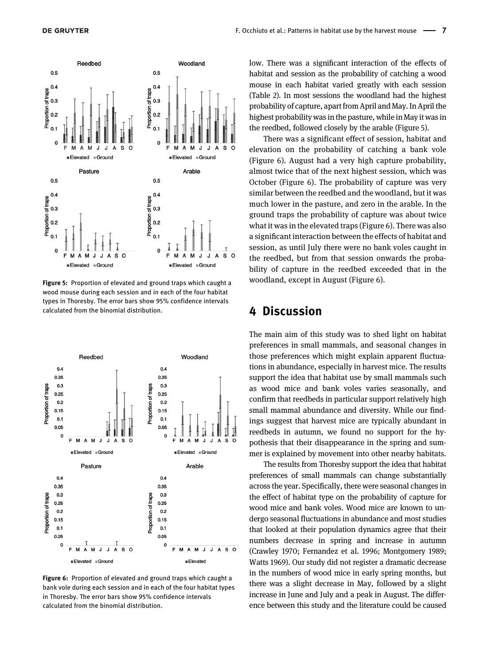

<span id="page-6-0"></span>Figure 5: Proportion of elevated and ground traps which caught a wood mouse during each session and in each of the four habitat types in Thoresby. The error bars show 95% confidence intervals calculated from the binomial distribution.



<span id="page-6-1"></span>Figure 6: Proportion of elevated and ground traps which caught a bank vole during each session and in each of the four habitat types in Thoresby. The error bars show 95% confidence intervals calculated from the binomial distribution.

low. There was a significant interaction of the effects of habitat and session as the probability of catching a wood mouse in each habitat varied greatly with each session ([Table 2](#page-5-1)). In most sessions the woodland had the highest probability of capture, apart from April and May. In April the highest probability was in the pasture, while in May it was in the reedbed, followed closely by the arable ([Figure 5](#page-6-0)).

There was a significant effect of session, habitat and elevation on the probability of catching a bank vole ([Figure 6\)](#page-6-1). August had a very high capture probability, almost twice that of the next highest session, which was October ([Figure 6\)](#page-6-1). The probability of capture was very similar between the reedbed and the woodland, but it was much lower in the pasture, and zero in the arable. In the ground traps the probability of capture was about twice what it was in the elevated traps [\(Figure 6\)](#page-6-1). There was also a significant interaction between the effects of habitat and session, as until July there were no bank voles caught in the reedbed, but from that session onwards the probability of capture in the reedbed exceeded that in the woodland, except in August ([Figure 6](#page-6-1)).

# 4 Discussion

The main aim of this study was to shed light on habitat preferences in small mammals, and seasonal changes in those preferences which might explain apparent fluctuations in abundance, especially in harvest mice. The results support the idea that habitat use by small mammals such as wood mice and bank voles varies seasonally, and confirm that reedbeds in particular support relatively high small mammal abundance and diversity. While our findings suggest that harvest mice are typically abundant in reedbeds in autumn, we found no support for the hypothesis that their disappearance in the spring and summer is explained by movement into other nearby habitats.

The results from Thoresby support the idea that habitat preferences of small mammals can change substantially across the year. Specifically, there were seasonal changes in the effect of habitat type on the probability of capture for wood mice and bank voles. Wood mice are known to undergo seasonal fluctuations in abundance and most studies that looked at their population dynamics agree that their numbers decrease in spring and increase in autumn ([Crawley 1970;](#page-9-11) [Fernandez et al. 1996;](#page-9-15) [Montgomery 1989](#page-9-14); [Watts 1969](#page-10-1)). Our study did not register a dramatic decrease in the numbers of wood mice in early spring months, but there was a slight decrease in May, followed by a slight increase in June and July and a peak in August. The difference between this study and the literature could be caused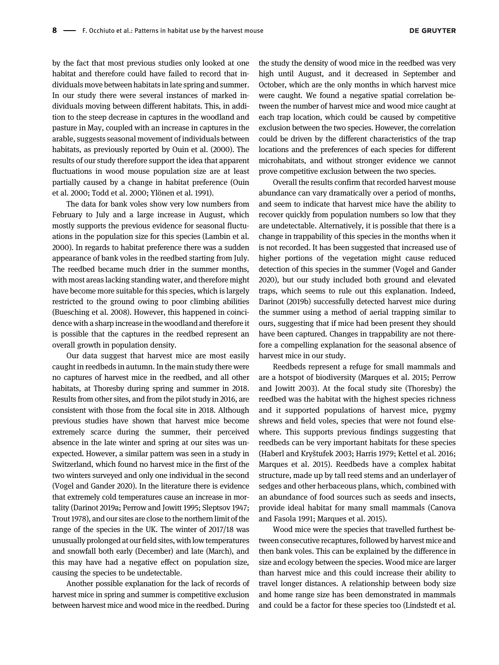by the fact that most previous studies only looked at one habitat and therefore could have failed to record that individuals move between habitats in late spring and summer. In our study there were several instances of marked individuals moving between different habitats. This, in addition to the steep decrease in captures in the woodland and pasture in May, coupled with an increase in captures in the arable, suggests seasonal movement of individuals between habitats, as previously reported by [Ouin et al. \(2000\)](#page-9-16). The results of our study therefore support the idea that apparent fluctuations in wood mouse population size are at least partially caused by a change in habitat preference [\(Ouin](#page-9-16) [et al. 2000](#page-9-16); [Todd et al. 2000;](#page-10-2) [Ylönen et al. 1991\)](#page-10-3).

The data for bank voles show very low numbers from February to July and a large increase in August, which mostly supports the previous evidence for seasonal fluctuations in the population size for this species ([Lambin et al.](#page-9-33) [2000](#page-9-33)). In regards to habitat preference there was a sudden appearance of bank voles in the reedbed starting from July. The reedbed became much drier in the summer months, with most areas lacking standing water, and therefore might have become more suitable for this species, which is largely restricted to the ground owing to poor climbing abilities [\(Buesching et al. 2008\)](#page-8-3). However, this happened in coincidence with a sharp increase in the woodland and therefore it is possible that the captures in the reedbed represent an overall growth in population density.

Our data suggest that harvest mice are most easily caught in reedbeds in autumn. In the main study there were no captures of harvest mice in the reedbed, and all other habitats, at Thoresby during spring and summer in 2018. Results from other sites, and from the pilot study in 2016, are consistent with those from the focal site in 2018. Although previous studies have shown that harvest mice become extremely scarce during the summer, their perceived absence in the late winter and spring at our sites was unexpected. However, a similar pattern was seen in a study in Switzerland, which found no harvest mice in the first of the two winters surveyed and only one individual in the second [\(Vogel and Gander 2020](#page-10-7)). In the literature there is evidence that extremely cold temperatures cause an increase in mortality ([Darinot 2019a;](#page-9-30) [Perrow and Jowitt 1995;](#page-9-23) [Sleptsov 1947;](#page-10-6) [Trout 1978\)](#page-10-0), and our sites are close to the northern limit of the range of the species in the UK. The winter of 2017/18 was unusually prolonged at ourfield sites, with low temperatures and snowfall both early (December) and late (March), and this may have had a negative effect on population size, causing the species to be undetectable.

Another possible explanation for the lack of records of harvest mice in spring and summer is competitive exclusion between harvest mice and wood mice in the reedbed. During

the study the density of wood mice in the reedbed was very high until August, and it decreased in September and October, which are the only months in which harvest mice were caught. We found a negative spatial correlation between the number of harvest mice and wood mice caught at each trap location, which could be caused by competitive exclusion between the two species. However, the correlation could be driven by the different characteristics of the trap locations and the preferences of each species for different microhabitats, and without stronger evidence we cannot prove competitive exclusion between the two species.

Overall the results confirm that recorded harvest mouse abundance can vary dramatically over a period of months, and seem to indicate that harvest mice have the ability to recover quickly from population numbers so low that they are undetectable. Alternatively, it is possible that there is a change in trappability of this species in the months when it is not recorded. It has been suggested that increased use of higher portions of the vegetation might cause reduced detection of this species in the summer ([Vogel and Gander](#page-10-7) [2020\)](#page-10-7), but our study included both ground and elevated traps, which seems to rule out this explanation. Indeed, [Darinot \(2019b\)](#page-9-26) successfully detected harvest mice during the summer using a method of aerial trapping similar to ours, suggesting that if mice had been present they should have been captured. Changes in trappability are not therefore a compelling explanation for the seasonal absence of harvest mice in our study.

Reedbeds represent a refuge for small mammals and are a hotspot of biodiversity ([Marques et al. 2015;](#page-9-19) [Perrow](#page-9-34) [and Jowitt 2003\)](#page-9-34). At the focal study site (Thoresby) the reedbed was the habitat with the highest species richness and it supported populations of harvest mice, pygmy shrews and field voles, species that were not found elsewhere. This supports previous findings suggesting that reedbeds can be very important habitats for these species [\(Haberl and Kry](#page-9-27)štufek 2003; [Harris 1979](#page-9-22); [Kettel et al. 2016](#page-9-18); [Marques et al. 2015](#page-9-19)). Reedbeds have a complex habitat structure, made up by tall reed stems and an underlayer of sedges and other herbaceous plans, which, combined with an abundance of food sources such as seeds and insects, provide ideal habitat for many small mammals ([Canova](#page-9-35) [and Fasola 1991;](#page-9-35) [Marques et al. 2015\)](#page-9-19).

Wood mice were the species that travelled furthest between consecutive recaptures, followed by harvest mice and then bank voles. This can be explained by the difference in size and ecology between the species. Wood mice are larger than harvest mice and this could increase their ability to travel longer distances. A relationship between body size and home range size has been demonstrated in mammals and could be a factor for these species too [\(Lindstedt et al.](#page-9-36)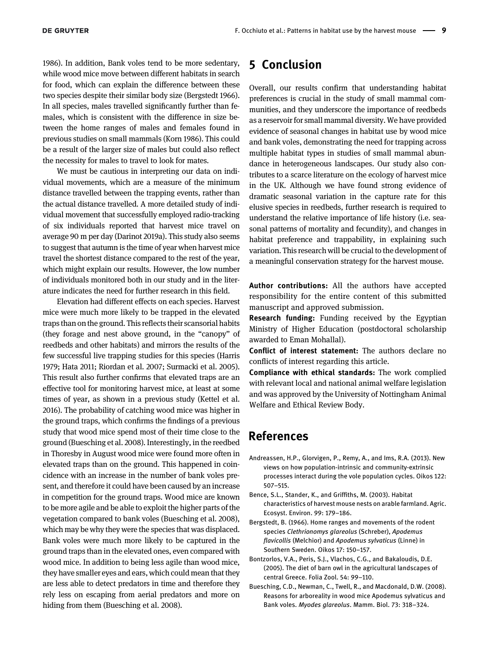[1986](#page-9-36)). In addition, Bank voles tend to be more sedentary, while wood mice move between different habitats in search for food, which can explain the difference between these two species despite their similar body size ([Bergstedt 1966\)](#page-8-4). In all species, males travelled significantly further than females, which is consistent with the difference in size between the home ranges of males and females found in previous studies on small mammals ([Korn 1986](#page-9-37)). This could be a result of the larger size of males but could also reflect the necessity for males to travel to look for mates.

We must be cautious in interpreting our data on individual movements, which are a measure of the minimum distance travelled between the trapping events, rather than the actual distance travelled. A more detailed study of individual movement that successfully employed radio-tracking of six individuals reported that harvest mice travel on average 90 m per day ([Darinot 2019a\)](#page-9-30). This study also seems to suggest that autumn is the time of year when harvest mice travel the shortest distance compared to the rest of the year, which might explain our results. However, the low number of individuals monitored both in our study and in the literature indicates the need for further research in this field.

Elevation had different effects on each species. Harvest mice were much more likely to be trapped in the elevated traps than on the ground. This reflects their scansorial habits (they forage and nest above ground, in the "canopy" of reedbeds and other habitats) and mirrors the results of the few successful live trapping studies for this species [\(Harris](#page-9-22) [1979;](#page-9-22) [Hata 2011;](#page-9-38) [Riordan et al. 2007;](#page-10-5) [Surmacki et al. 2005\)](#page-10-9). This result also further confirms that elevated traps are an effective tool for monitoring harvest mice, at least at some times of year, as shown in a previous study [\(Kettel et al.](#page-9-18) [2016](#page-9-18)). The probability of catching wood mice was higher in the ground traps, which confirms the findings of a previous study that wood mice spend most of their time close to the ground ([Buesching et al. 2008](#page-8-3)). Interestingly, in the reedbed in Thoresby in August wood mice were found more often in elevated traps than on the ground. This happened in coincidence with an increase in the number of bank voles present, and therefore it could have been caused by an increase in competition for the ground traps. Wood mice are known to be more agile and be able to exploit the higher parts of the vegetation compared to bank voles [\(Buesching et al. 2008\)](#page-8-3), which may be why they were the species that was displaced. Bank voles were much more likely to be captured in the ground traps than in the elevated ones, even compared with wood mice. In addition to being less agile than wood mice, they have smaller eyes and ears, which could mean that they are less able to detect predators in time and therefore they rely less on escaping from aerial predators and more on hiding from them [\(Buesching et al. 2008](#page-8-3)).

# 5 Conclusion

Overall, our results confirm that understanding habitat preferences is crucial in the study of small mammal communities, and they underscore the importance of reedbeds as a reservoir for small mammal diversity. We have provided evidence of seasonal changes in habitat use by wood mice and bank voles, demonstrating the need for trapping across multiple habitat types in studies of small mammal abundance in heterogeneous landscapes. Our study also contributes to a scarce literature on the ecology of harvest mice in the UK. Although we have found strong evidence of dramatic seasonal variation in the capture rate for this elusive species in reedbeds, further research is required to understand the relative importance of life history (i.e. seasonal patterns of mortality and fecundity), and changes in habitat preference and trappability, in explaining such variation. This research will be crucial to the development of a meaningful conservation strategy for the harvest mouse.

Author contributions: All the authors have accepted responsibility for the entire content of this submitted manuscript and approved submission.

**Research funding:** Funding received by the Egyptian Ministry of Higher Education (postdoctoral scholarship awarded to Eman Mohallal).

Conflict of interest statement: The authors declare no conflicts of interest regarding this article.

Compliance with ethical standards: The work complied with relevant local and national animal welfare legislation and was approved by the University of Nottingham Animal Welfare and Ethical Review Body.

# References

- <span id="page-8-1"></span>Andreassen, H.P., Glorvigen, P., Remy, A., and Ims, R.A. (2013). New views on how population-intrinsic and community-extrinsic processes interact during the vole population cycles. Oikos 122: 507–515.
- <span id="page-8-2"></span>Bence, S.L., Stander, K., and Griffiths, M. (2003). Habitat characteristics of harvest mouse nests on arable farmland. Agric. Ecosyst. Environ. 99: 179–186.
- <span id="page-8-4"></span>Bergstedt, B. (1966). Home ranges and movements of the rodent species Clethrionomys glareolus (Schreber), Apodemus flavicollis (Melchior) and Apodemus sylvaticus (Linne) in Southern Sweden. Oikos 17: 150–157.
- <span id="page-8-0"></span>Bontzorlos, V.A., Peris, S.J., Vlachos, C.G., and Bakaloudis, D.E. (2005). The diet of barn owl in the agricultural landscapes of central Greece. Folia Zool. 54: 99–110.
- <span id="page-8-3"></span>Buesching, C.D., Newman, C., Twell, R., and Macdonald, D.W. (2008). Reasons for arboreality in wood mice Apodemus sylvaticus and Bank voles. Myodes glareolus. Mamm. Biol. 73: 318–324.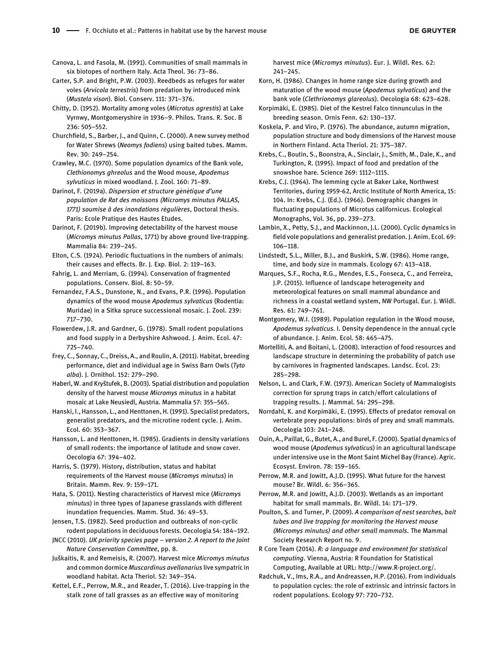<span id="page-9-35"></span>Canova, L. and Fasola, M. (1991). Communities of small mammals in six biotopes of northern Italy. Acta Theol. 36: 73–86.

<span id="page-9-20"></span>Carter, S.P. and Bright, P.W. (2003). Reedbeds as refuges for water voles (Arvicola terrestris) from predation by introduced mink (Mustela vison). Biol. Conserv. 111: 371–376.

<span id="page-9-3"></span>Chitty, D. (1952). Mortality among voles (Microtus agrestis) at Lake Vyrnwy, Montgomeryshire in 1936–9. Philos. Trans. R. Soc. B 236: 505–552.

<span id="page-9-21"></span>Churchfield, S., Barber, J., and Quinn, C. (2000). A new survey method for Water Shrews (Neomys fodiens) using baited tubes. Mamm. Rev. 30: 249–254.

<span id="page-9-11"></span>Crawley, M.C. (1970). Some population dynamics of the Bank vole, Clethionomys ghreolus and the Wood mouse, Apodemus sylvuticus in mixed woodland. J. Zool. 160: 71–89.

<span id="page-9-30"></span>Darinot, F. (2019a). Dispersion et structure génétique d'une population de Rat des moissons (Micromys minutus PALLAS, 1771) soumise à des inondations régulières, Doctoral thesis. Paris: Ecole Pratique des Hautes Etudes.

<span id="page-9-26"></span>Darinot, F. (2019b). Improving detectability of the harvest mouse (Micromys minutus Pallas, 1771) by above ground live-trapping. Mammalia 84: 239–245.

<span id="page-9-4"></span>Elton, C.S. (1924). Periodic fluctuations in the numbers of animals: their causes and effects. Br. J. Exp. Biol. 2: 119–163.

<span id="page-9-17"></span>Fahrig, L. and Merriam, G. (1994). Conservation of fragmented populations. Conserv. Biol. 8: 50–59.

<span id="page-9-15"></span>Fernandez, F.A.S., Dunstone, N., and Evans, P.R. (1996). Population dynamics of the wood mouse Apodemus sylvaticus (Rodentia: Muridae) in a Sitka spruce successional mosaic. J. Zool. 239: 717–730.

<span id="page-9-12"></span>Flowerdew, J.R. and Gardner, G. (1978). Small rodent populations and food supply in a Derbyshire Ashwood. J. Anim. Ecol. 47: 725–740.

<span id="page-9-0"></span>Frey, C., Sonnay, C., Dreiss, A., and Roulin, A. (2011). Habitat, breeding performance, diet and individual age in Swiss Barn Owls (Tyto alba). J. Ornithol. 152: 279–290.

<span id="page-9-27"></span>Haberl, W. and Kryštufek, B. (2003). Spatial distribution and population density of the harvest mouse Micromys minutus in a habitat mosaic at Lake Neusiedl, Austria. Mammalia 57: 355–565.

<span id="page-9-9"></span>Hanski, I., Hansson, L., and Henttonen, H. (1991). Specialist predators, generalist predators, and the microtine rodent cycle. J. Anim. Ecol. 60: 353–367.

<span id="page-9-13"></span>Hansson, L. and Henttonen, H. (1985). Gradients in density variations of small rodents: the importance of latitude and snow cover. Oecologia 67: 394–402.

<span id="page-9-22"></span>Harris, S. (1979). History, distribution, status and habitat requirements of the Harvest mouse (Micromys minutus) in Britain. Mamm. Rev. 9: 159–171.

<span id="page-9-38"></span>Hata, S. (2011). Nesting characteristics of Harvest mice (Micromys minutus) in three types of Japanese grasslands with different inundation frequencies. Mamm. Stud. 36: 49–53.

<span id="page-9-10"></span>Jensen, T.S. (1982). Seed production and outbreaks of non-cyclic rodent populations in deciduous forests. Oecologia 54: 184–192.

<span id="page-9-24"></span>JNCC (2010). UK priority species page – version 2. A report to the Joint Nature Conservation Committee, pp. 8.

<span id="page-9-28"></span>Juškaitis, R. and Remeisis, R. (2007). Harvest mice Micromys minutus and common dormice Muscardinus avellanarius live sympatric in woodland habitat. Acta Theriol. 52: 349–354.

<span id="page-9-18"></span>Kettel, E.F., Perrow, M.R., and Reader, T. (2016). Live-trapping in the stalk zone of tall grasses as an effective way of monitoring

harvest mice (Micromys minutus). Eur. J. Wildl. Res. 62: 241–245.

<span id="page-9-37"></span>Korn, H. (1986). Changes in home range size during growth and maturation of the wood mouse (Apodemus sylvaticus) and the bank vole (Clethrionomys glareolus). Oecologia 68: 623–628.

<span id="page-9-1"></span>Korpimäki, E. (1985). Diet of the Kestrel Falco tinnunculus in the breeding season. Ornis Fenn. 62: 130–137.

<span id="page-9-29"></span>Koskela, P. and Viro, P. (1976). The abundance, autumn migration, population structure and body dimensions of the Harvest mouse in Northern Finland. Acta Theriol. 21: 375–387.

<span id="page-9-7"></span>Krebs, C., Boutin, S., Boonstra, A., Sinclair, J., Smith, M., Dale, K., and Turkington, R. (1995). Impact of food and predation of the snowshoe hare. Science 269: 1112–1115.

<span id="page-9-5"></span>Krebs, C.J. (1964). The lemming cycle at Baker Lake, Northwest Territories, during 1959-62, Arctic Institute of North America, 15: 104. In: Krebs, C.J. (Ed.). (1966). Demographic changes in fluctuating populations of Microtus californicus. Ecological Monographs, Vol. 36, pp. 239–273.

<span id="page-9-33"></span>Lambin, X., Petty, S.J., and Mackinnon, J.L. (2000). Cyclic dynamics in field vole populations and generalist predation. J. Anim. Ecol. 69: 106–118.

<span id="page-9-36"></span>Lindstedt, S.L., Miller, B.J., and Buskirk, S.W. (1986). Home range, time, and body size in mammals. Ecology 67: 413–418.

<span id="page-9-19"></span>Marques, S.F., Rocha, R.G., Mendes, E.S., Fonseca, C., and Ferreira, J.P. (2015). Influence of landscape heterogeneity and meteorological features on small mammal abundance and richness in a coastal wetland system, NW Portugal. Eur. J. Wildl. Res. 61: 749–761.

<span id="page-9-14"></span>Montgomery, W.I. (1989). Population regulation in the Wood mouse, Apodemus sylvaticus. I. Density dependence in the annual cycle of abundance. J. Anim. Ecol. 58: 465–475.

<span id="page-9-2"></span>Mortelliti, A. and Boitani, L. (2008). Interaction of food resources and landscape structure in determining the probability of patch use by carnivores in fragmented landscapes. Landsc. Ecol. 23: 285–298.

<span id="page-9-32"></span>Nelson, L. and Clark, F.W. (1973). American Society of Mammalogists correction for sprung traps in catch/effort calculations of trapping results. J. Mammal. 54: 295–298.

<span id="page-9-6"></span>Norrdahl, K. and Korpimäki, E. (1995). Effects of predator removal on vertebrate prey populations: birds of prey and small mammals. Oecologia 103: 241–248.

<span id="page-9-16"></span>Ouin, A., Paillat, G., Butet, A., and Burel, F. (2000). Spatial dynamics of wood mouse (Apodemus sylvaticus) in an agricultural landscape under intensive use in the Mont Saint Michel Bay (France). Agric. Ecosyst. Environ. 78: 159–165.

<span id="page-9-23"></span>Perrow, M.R. and Jowitt, A.J.D. (1995). What future for the harvest mouse? Br. Wildl. 6: 356–365.

<span id="page-9-34"></span>Perrow, M.R. and Jowitt, A.J.D. (2003). Wetlands as an important habitat for small mammals. Br. Wildl. 14: 171–179.

<span id="page-9-25"></span>Poulton, S. and Turner, P. (2009). A comparison of nest searches, bait tubes and live trapping for monitoring the Harvest mouse (Micromys minutus) and other small mammals. The Mammal Society Research Report no. 9.

<span id="page-9-31"></span>R Core Team (2014). R: a language and environment for statistical computing. Vienna, Austria: R Foundation for Statistical Computing, Available at URL:<http://www.R-project.org/>.

<span id="page-9-8"></span>Radchuk, V., Ims, R.A., and Andreassen, H.P. (2016). From individuals to population cycles: the role of extrinsic and intrinsic factors in rodent populations. Ecology 97: 720–732.